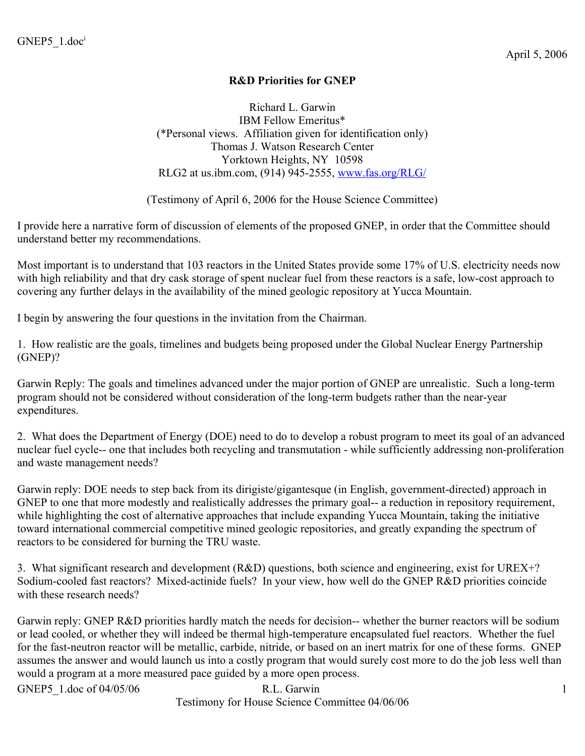### **R&D Priorities for GNEP**

Richard L. Garwin IBM Fellow Emeritus\* (\*Personal views. Affiliation given for identification only) Thomas J. Watson Research Center Yorktown Heights, NY 10598 RLG2 at us.ibm.com, (914) 945-2555, [www.fas.org/RLG/](http://www.fas.org/RLG/)

(Testimony of April 6, 2006 for the House Science Committee)

I provide here a narrative form of discussion of elements of the proposed GNEP, in order that the Committee should understand better my recommendations.

Most important is to understand that 103 reactors in the United States provide some 17% of U.S. electricity needs now with high reliability and that dry cask storage of spent nuclear fuel from these reactors is a safe, low-cost approach to covering any further delays in the availability of the mined geologic repository at Yucca Mountain.

I begin by answering the four questions in the invitation from the Chairman.

1. How realistic are the goals, timelines and budgets being proposed under the Global Nuclear Energy Partnership (GNEP)?

Garwin Reply: The goals and timelines advanced under the major portion of GNEP are unrealistic. Such a long-term program should not be considered without consideration of the long-term budgets rather than the near-year expenditures.

2. What does the Department of Energy (DOE) need to do to develop a robust program to meet its goal of an advanced nuclear fuel cycle-- one that includes both recycling and transmutation - while sufficiently addressing non-proliferation and waste management needs?

Garwin reply: DOE needs to step back from its dirigiste/gigantesque (in English, government-directed) approach in GNEP to one that more modestly and realistically addresses the primary goal-- a reduction in repository requirement, while highlighting the cost of alternative approaches that include expanding Yucca Mountain, taking the initiative toward international commercial competitive mined geologic repositories, and greatly expanding the spectrum of reactors to be considered for burning the TRU waste.

3. What significant research and development (R&D) questions, both science and engineering, exist for UREX+? Sodium-cooled fast reactors? Mixed-actinide fuels? In your view, how well do the GNEP R&D priorities coincide with these research needs?

Garwin reply: GNEP R&D priorities hardly match the needs for decision-- whether the burner reactors will be sodium or lead cooled, or whether they will indeed be thermal high-temperature encapsulated fuel reactors. Whether the fuel for the fast-neutron reactor will be metallic, carbide, nitride, or based on an inert matrix for one of these forms. GNEP assumes the answer and would launch us into a costly program that would surely cost more to do the job less well than would a program at a more measured pace guided by a more open process.

GNEP5 1.doc of 04/05/06 R.L. Garwin 1 Testimony for House Science Committee 04/06/06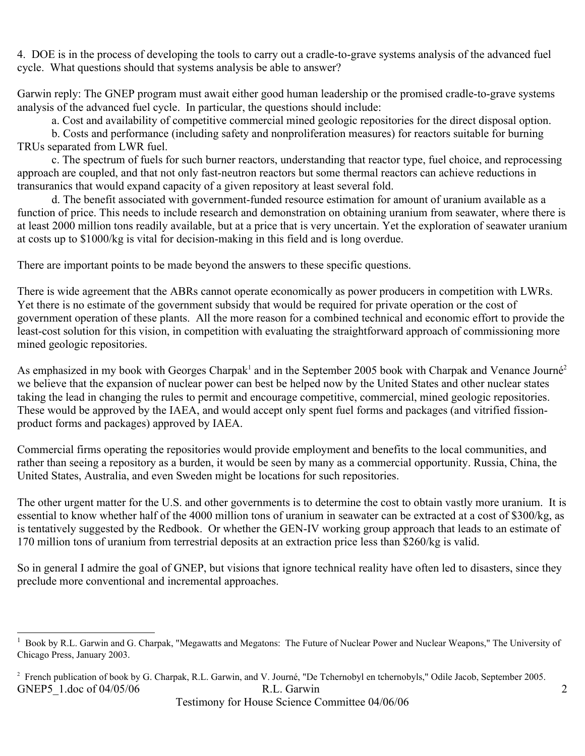4. DOE is in the process of developing the tools to carry out a cradle-to-grave systems analysis of the advanced fuel cycle. What questions should that systems analysis be able to answer?

Garwin reply: The GNEP program must await either good human leadership or the promised cradle-to-grave systems analysis of the advanced fuel cycle. In particular, the questions should include:

a. Cost and availability of competitive commercial mined geologic repositories for the direct disposal option.

b. Costs and performance (including safety and nonproliferation measures) for reactors suitable for burning TRUs separated from LWR fuel.

c. The spectrum of fuels for such burner reactors, understanding that reactor type, fuel choice, and reprocessing approach are coupled, and that not only fast-neutron reactors but some thermal reactors can achieve reductions in transuranics that would expand capacity of a given repository at least several fold.

d. The benefit associated with government-funded resource estimation for amount of uranium available as a function of price. This needs to include research and demonstration on obtaining uranium from seawater, where there is at least 2000 million tons readily available, but at a price that is very uncertain. Yet the exploration of seawater uranium at costs up to \$1000/kg is vital for decision-making in this field and is long overdue.

There are important points to be made beyond the answers to these specific questions.

There is wide agreement that the ABRs cannot operate economically as power producers in competition with LWRs. Yet there is no estimate of the government subsidy that would be required for private operation or the cost of government operation of these plants. All the more reason for a combined technical and economic effort to provide the least-cost solution for this vision, in competition with evaluating the straightforward approach of commissioning more mined geologic repositories.

As emphasized in my book with Georges Charpak<sup>[1](#page-1-0)</sup> and in the September [2](#page-1-1)005 book with Charpak and Venance Journé<sup>2</sup> we believe that the expansion of nuclear power can best be helped now by the United States and other nuclear states taking the lead in changing the rules to permit and encourage competitive, commercial, mined geologic repositories. These would be approved by the IAEA, and would accept only spent fuel forms and packages (and vitrified fissionproduct forms and packages) approved by IAEA.

Commercial firms operating the repositories would provide employment and benefits to the local communities, and rather than seeing a repository as a burden, it would be seen by many as a commercial opportunity. Russia, China, the United States, Australia, and even Sweden might be locations for such repositories.

The other urgent matter for the U.S. and other governments is to determine the cost to obtain vastly more uranium. It is essential to know whether half of the 4000 million tons of uranium in seawater can be extracted at a cost of \$300/kg, as is tentatively suggested by the Redbook. Or whether the GEN-IV working group approach that leads to an estimate of 170 million tons of uranium from terrestrial deposits at an extraction price less than \$260/kg is valid.

So in general I admire the goal of GNEP, but visions that ignore technical reality have often led to disasters, since they preclude more conventional and incremental approaches.

<span id="page-1-0"></span><sup>1</sup> Book by R.L. Garwin and G. Charpak, "Megawatts and Megatons: The Future of Nuclear Power and Nuclear Weapons," The University of Chicago Press, January 2003.

<span id="page-1-1"></span><sup>&</sup>lt;sup>2</sup> French publication of book by G. Charpak, R.L. Garwin, and V. Journé, "De Tchernobyl en tchernobyls," Odile Jacob, September 2005. GNEP5 1.doc of 04/05/06 R.L. Garwin 2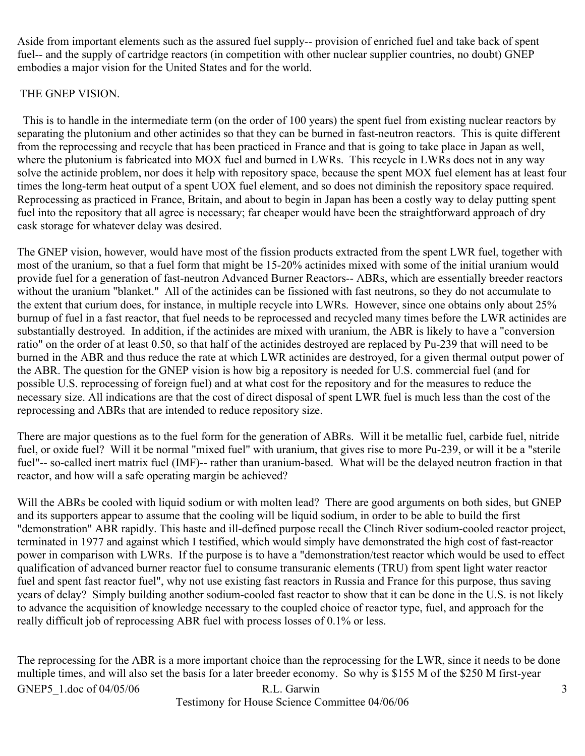Aside from important elements such as the assured fuel supply-- provision of enriched fuel and take back of spent fuel-- and the supply of cartridge reactors (in competition with other nuclear supplier countries, no doubt) GNEP embodies a major vision for the United States and for the world.

### THE GNEP VISION.

 This is to handle in the intermediate term (on the order of 100 years) the spent fuel from existing nuclear reactors by separating the plutonium and other actinides so that they can be burned in fast-neutron reactors. This is quite different from the reprocessing and recycle that has been practiced in France and that is going to take place in Japan as well, where the plutonium is fabricated into MOX fuel and burned in LWRs. This recycle in LWRs does not in any way solve the actinide problem, nor does it help with repository space, because the spent MOX fuel element has at least four times the long-term heat output of a spent UOX fuel element, and so does not diminish the repository space required. Reprocessing as practiced in France, Britain, and about to begin in Japan has been a costly way to delay putting spent fuel into the repository that all agree is necessary; far cheaper would have been the straightforward approach of dry cask storage for whatever delay was desired.

The GNEP vision, however, would have most of the fission products extracted from the spent LWR fuel, together with most of the uranium, so that a fuel form that might be 15-20% actinides mixed with some of the initial uranium would provide fuel for a generation of fast-neutron Advanced Burner Reactors-- ABRs, which are essentially breeder reactors without the uranium "blanket." All of the actinides can be fissioned with fast neutrons, so they do not accumulate to the extent that curium does, for instance, in multiple recycle into LWRs. However, since one obtains only about 25% burnup of fuel in a fast reactor, that fuel needs to be reprocessed and recycled many times before the LWR actinides are substantially destroyed. In addition, if the actinides are mixed with uranium, the ABR is likely to have a "conversion ratio" on the order of at least 0.50, so that half of the actinides destroyed are replaced by Pu-239 that will need to be burned in the ABR and thus reduce the rate at which LWR actinides are destroyed, for a given thermal output power of the ABR. The question for the GNEP vision is how big a repository is needed for U.S. commercial fuel (and for possible U.S. reprocessing of foreign fuel) and at what cost for the repository and for the measures to reduce the necessary size. All indications are that the cost of direct disposal of spent LWR fuel is much less than the cost of the reprocessing and ABRs that are intended to reduce repository size.

There are major questions as to the fuel form for the generation of ABRs. Will it be metallic fuel, carbide fuel, nitride fuel, or oxide fuel? Will it be normal "mixed fuel" with uranium, that gives rise to more Pu-239, or will it be a "sterile fuel"-- so-called inert matrix fuel (IMF)-- rather than uranium-based. What will be the delayed neutron fraction in that reactor, and how will a safe operating margin be achieved?

Will the ABRs be cooled with liquid sodium or with molten lead? There are good arguments on both sides, but GNEP and its supporters appear to assume that the cooling will be liquid sodium, in order to be able to build the first "demonstration" ABR rapidly. This haste and ill-defined purpose recall the Clinch River sodium-cooled reactor project, terminated in 1977 and against which I testified, which would simply have demonstrated the high cost of fast-reactor power in comparison with LWRs. If the purpose is to have a "demonstration/test reactor which would be used to effect qualification of advanced burner reactor fuel to consume transuranic elements (TRU) from spent light water reactor fuel and spent fast reactor fuel", why not use existing fast reactors in Russia and France for this purpose, thus saving years of delay? Simply building another sodium-cooled fast reactor to show that it can be done in the U.S. is not likely to advance the acquisition of knowledge necessary to the coupled choice of reactor type, fuel, and approach for the really difficult job of reprocessing ABR fuel with process losses of 0.1% or less.

The reprocessing for the ABR is a more important choice than the reprocessing for the LWR, since it needs to be done multiple times, and will also set the basis for a later breeder economy. So why is \$155 M of the \$250 M first-year

GNEP5 1.doc of 04/05/06 R.L. Garwin 3 Testimony for House Science Committee 04/06/06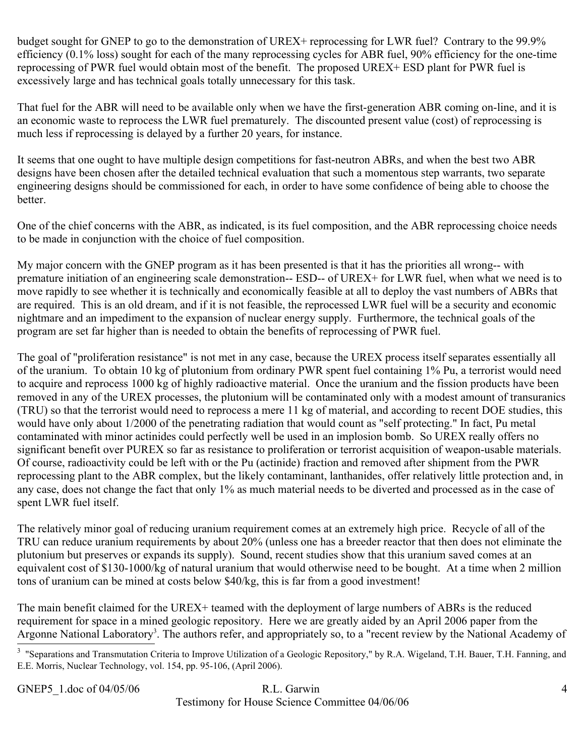budget sought for GNEP to go to the demonstration of UREX+ reprocessing for LWR fuel? Contrary to the 99.9% efficiency (0.1% loss) sought for each of the many reprocessing cycles for ABR fuel, 90% efficiency for the one-time reprocessing of PWR fuel would obtain most of the benefit. The proposed UREX+ ESD plant for PWR fuel is excessively large and has technical goals totally unnecessary for this task.

That fuel for the ABR will need to be available only when we have the first-generation ABR coming on-line, and it is an economic waste to reprocess the LWR fuel prematurely. The discounted present value (cost) of reprocessing is much less if reprocessing is delayed by a further 20 years, for instance.

It seems that one ought to have multiple design competitions for fast-neutron ABRs, and when the best two ABR designs have been chosen after the detailed technical evaluation that such a momentous step warrants, two separate engineering designs should be commissioned for each, in order to have some confidence of being able to choose the better.

One of the chief concerns with the ABR, as indicated, is its fuel composition, and the ABR reprocessing choice needs to be made in conjunction with the choice of fuel composition.

My major concern with the GNEP program as it has been presented is that it has the priorities all wrong-- with premature initiation of an engineering scale demonstration-- ESD-- of UREX+ for LWR fuel, when what we need is to move rapidly to see whether it is technically and economically feasible at all to deploy the vast numbers of ABRs that are required. This is an old dream, and if it is not feasible, the reprocessed LWR fuel will be a security and economic nightmare and an impediment to the expansion of nuclear energy supply. Furthermore, the technical goals of the program are set far higher than is needed to obtain the benefits of reprocessing of PWR fuel.

The goal of "proliferation resistance" is not met in any case, because the UREX process itself separates essentially all of the uranium. To obtain 10 kg of plutonium from ordinary PWR spent fuel containing 1% Pu, a terrorist would need to acquire and reprocess 1000 kg of highly radioactive material. Once the uranium and the fission products have been removed in any of the UREX processes, the plutonium will be contaminated only with a modest amount of transuranics (TRU) so that the terrorist would need to reprocess a mere 11 kg of material, and according to recent DOE studies, this would have only about 1/2000 of the penetrating radiation that would count as "self protecting." In fact, Pu metal contaminated with minor actinides could perfectly well be used in an implosion bomb. So UREX really offers no significant benefit over PUREX so far as resistance to proliferation or terrorist acquisition of weapon-usable materials. Of course, radioactivity could be left with or the Pu (actinide) fraction and removed after shipment from the PWR reprocessing plant to the ABR complex, but the likely contaminant, lanthanides, offer relatively little protection and, in any case, does not change the fact that only 1% as much material needs to be diverted and processed as in the case of spent LWR fuel itself.

The relatively minor goal of reducing uranium requirement comes at an extremely high price. Recycle of all of the TRU can reduce uranium requirements by about 20% (unless one has a breeder reactor that then does not eliminate the plutonium but preserves or expands its supply). Sound, recent studies show that this uranium saved comes at an equivalent cost of \$130-1000/kg of natural uranium that would otherwise need to be bought. At a time when 2 million tons of uranium can be mined at costs below \$40/kg, this is far from a good investment!

The main benefit claimed for the UREX+ teamed with the deployment of large numbers of ABRs is the reduced requirement for space in a mined geologic repository. Here we are greatly aided by an April 2006 paper from the Argonne National Laboratory<sup>[3](#page-3-0)</sup>. The authors refer, and appropriately so, to a "recent review by the National Academy of

## GNEP5 1.doc of 04/05/06 R.L. Garwin 4 Testimony for House Science Committee 04/06/06

<span id="page-3-0"></span><sup>&</sup>lt;sup>3</sup> "Separations and Transmutation Criteria to Improve Utilization of a Geologic Repository," by R.A. Wigeland, T.H. Bauer, T.H. Fanning, and E.E. Morris, Nuclear Technology, vol. 154, pp. 95-106, (April 2006).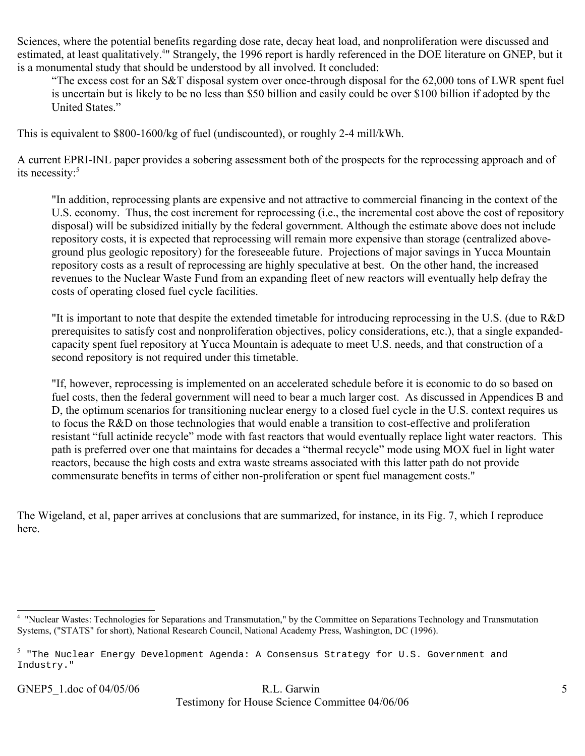Sciences, where the potential benefits regarding dose rate, decay heat load, and nonproliferation were discussed and estimated, at least qualitatively.<sup>[4](#page-4-0)</sup>" Strangely, the 1996 report is hardly referenced in the DOE literature on GNEP, but it is a monumental study that should be understood by all involved. It concluded:

"The excess cost for an S&T disposal system over once-through disposal for the 62,000 tons of LWR spent fuel is uncertain but is likely to be no less than \$50 billion and easily could be over \$100 billion if adopted by the United States."

This is equivalent to \$800-1600/kg of fuel (undiscounted), or roughly 2-4 mill/kWh.

A current EPRI-INL paper provides a sobering assessment both of the prospects for the reprocessing approach and of its necessity:<sup>[5](#page-4-1)</sup>

"In addition, reprocessing plants are expensive and not attractive to commercial financing in the context of the U.S. economy. Thus, the cost increment for reprocessing (i.e., the incremental cost above the cost of repository disposal) will be subsidized initially by the federal government. Although the estimate above does not include repository costs, it is expected that reprocessing will remain more expensive than storage (centralized aboveground plus geologic repository) for the foreseeable future. Projections of major savings in Yucca Mountain repository costs as a result of reprocessing are highly speculative at best. On the other hand, the increased revenues to the Nuclear Waste Fund from an expanding fleet of new reactors will eventually help defray the costs of operating closed fuel cycle facilities.

"It is important to note that despite the extended timetable for introducing reprocessing in the U.S. (due to R&D prerequisites to satisfy cost and nonproliferation objectives, policy considerations, etc.), that a single expandedcapacity spent fuel repository at Yucca Mountain is adequate to meet U.S. needs, and that construction of a second repository is not required under this timetable.

"If, however, reprocessing is implemented on an accelerated schedule before it is economic to do so based on fuel costs, then the federal government will need to bear a much larger cost. As discussed in Appendices B and D, the optimum scenarios for transitioning nuclear energy to a closed fuel cycle in the U.S. context requires us to focus the R&D on those technologies that would enable a transition to cost-effective and proliferation resistant "full actinide recycle" mode with fast reactors that would eventually replace light water reactors. This path is preferred over one that maintains for decades a "thermal recycle" mode using MOX fuel in light water reactors, because the high costs and extra waste streams associated with this latter path do not provide commensurate benefits in terms of either non-proliferation or spent fuel management costs."

The Wigeland, et al, paper arrives at conclusions that are summarized, for instance, in its Fig. 7, which I reproduce here.

# GNEP5 1.doc of 04/05/06 R.L. Garwin 5 Testimony for House Science Committee 04/06/06

<span id="page-4-0"></span><sup>4</sup> "Nuclear Wastes: Technologies for Separations and Transmutation," by the Committee on Separations Technology and Transmutation Systems, ("STATS" for short), National Research Council, National Academy Press, Washington, DC (1996).

<span id="page-4-1"></span> $^5$  "The Nuclear Energy Development Agenda: A Consensus Strategy for U.S. Government and Industry."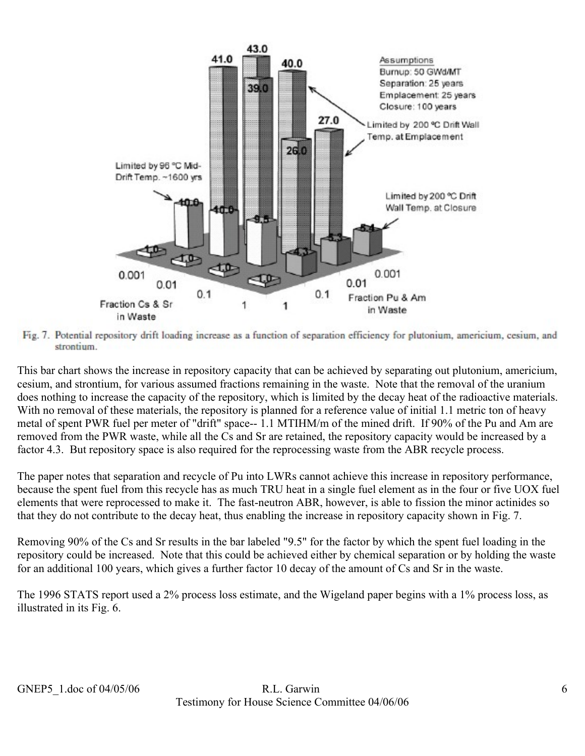

Fig. 7. Potential repository drift loading increase as a function of separation efficiency for plutonium, americium, cesium, and strontium.

This bar chart shows the increase in repository capacity that can be achieved by separating out plutonium, americium, cesium, and strontium, for various assumed fractions remaining in the waste. Note that the removal of the uranium does nothing to increase the capacity of the repository, which is limited by the decay heat of the radioactive materials. With no removal of these materials, the repository is planned for a reference value of initial 1.1 metric ton of heavy metal of spent PWR fuel per meter of "drift" space-- 1.1 MTIHM/m of the mined drift. If 90% of the Pu and Am are removed from the PWR waste, while all the Cs and Sr are retained, the repository capacity would be increased by a factor 4.3. But repository space is also required for the reprocessing waste from the ABR recycle process.

The paper notes that separation and recycle of Pu into LWRs cannot achieve this increase in repository performance, because the spent fuel from this recycle has as much TRU heat in a single fuel element as in the four or five UOX fuel elements that were reprocessed to make it. The fast-neutron ABR, however, is able to fission the minor actinides so that they do not contribute to the decay heat, thus enabling the increase in repository capacity shown in Fig. 7.

Removing 90% of the Cs and Sr results in the bar labeled "9.5" for the factor by which the spent fuel loading in the repository could be increased. Note that this could be achieved either by chemical separation or by holding the waste for an additional 100 years, which gives a further factor 10 decay of the amount of Cs and Sr in the waste.

The 1996 STATS report used a 2% process loss estimate, and the Wigeland paper begins with a 1% process loss, as illustrated in its Fig. 6.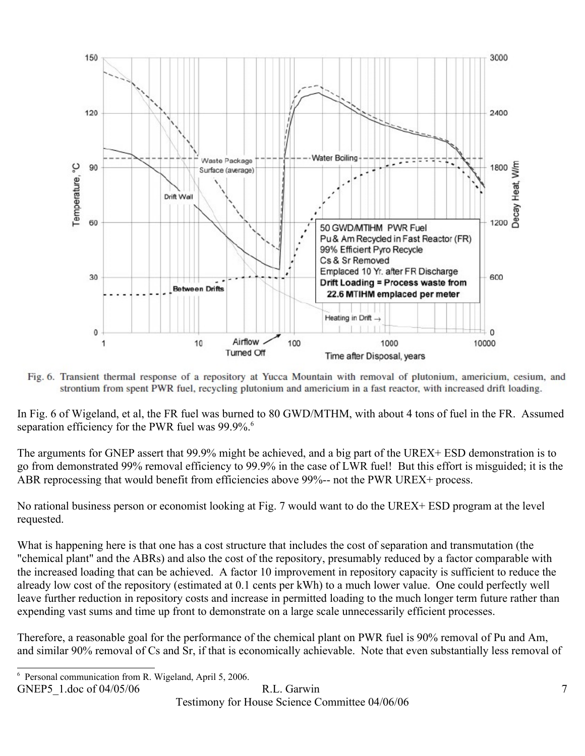

Fig. 6. Transient thermal response of a repository at Yucca Mountain with removal of plutonium, americium, cesium, and strontium from spent PWR fuel, recycling plutonium and americium in a fast reactor, with increased drift loading.

In Fig. 6 of Wigeland, et al, the FR fuel was burned to 80 GWD/MTHM, with about 4 tons of fuel in the FR. Assumed separation efficiency for the PWR fuel was 99.9%.<sup>[6](#page-6-0)</sup>

The arguments for GNEP assert that 99.9% might be achieved, and a big part of the UREX+ ESD demonstration is to go from demonstrated 99% removal efficiency to 99.9% in the case of LWR fuel! But this effort is misguided; it is the ABR reprocessing that would benefit from efficiencies above 99%-- not the PWR UREX+ process.

No rational business person or economist looking at Fig. 7 would want to do the UREX+ ESD program at the level requested.

What is happening here is that one has a cost structure that includes the cost of separation and transmutation (the "chemical plant" and the ABRs) and also the cost of the repository, presumably reduced by a factor comparable with the increased loading that can be achieved. A factor 10 improvement in repository capacity is sufficient to reduce the already low cost of the repository (estimated at 0.1 cents per kWh) to a much lower value. One could perfectly well leave further reduction in repository costs and increase in permitted loading to the much longer term future rather than expending vast sums and time up front to demonstrate on a large scale unnecessarily efficient processes.

Therefore, a reasonable goal for the performance of the chemical plant on PWR fuel is 90% removal of Pu and Am, and similar 90% removal of Cs and Sr, if that is economically achievable. Note that even substantially less removal of

GNEP5 1.doc of 04/05/06 R.L. Garwin 7

Testimony for House Science Committee 04/06/06

<span id="page-6-0"></span><sup>6</sup> Personal communication from R. Wigeland, April 5, 2006.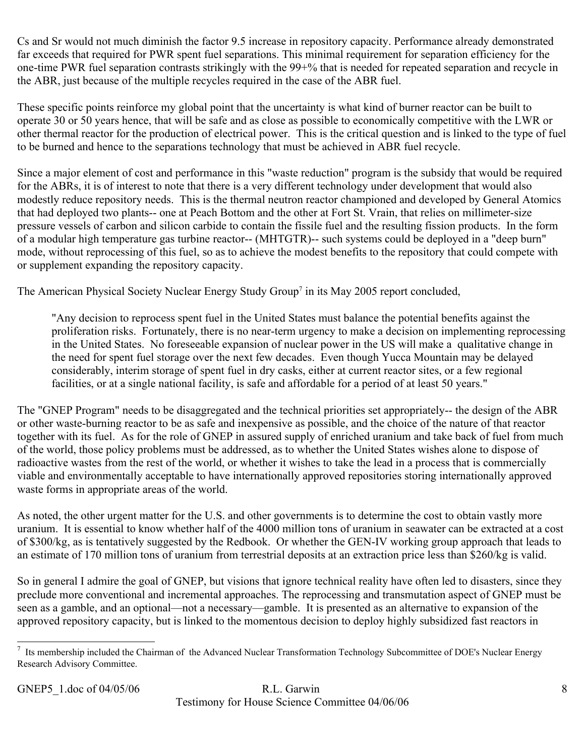Cs and Sr would not much diminish the factor 9.5 increase in repository capacity. Performance already demonstrated far exceeds that required for PWR spent fuel separations. This minimal requirement for separation efficiency for the one-time PWR fuel separation contrasts strikingly with the 99+% that is needed for repeated separation and recycle in the ABR, just because of the multiple recycles required in the case of the ABR fuel.

These specific points reinforce my global point that the uncertainty is what kind of burner reactor can be built to operate 30 or 50 years hence, that will be safe and as close as possible to economically competitive with the LWR or other thermal reactor for the production of electrical power. This is the critical question and is linked to the type of fuel to be burned and hence to the separations technology that must be achieved in ABR fuel recycle.

Since a major element of cost and performance in this "waste reduction" program is the subsidy that would be required for the ABRs, it is of interest to note that there is a very different technology under development that would also modestly reduce repository needs. This is the thermal neutron reactor championed and developed by General Atomics that had deployed two plants-- one at Peach Bottom and the other at Fort St. Vrain, that relies on millimeter-size pressure vessels of carbon and silicon carbide to contain the fissile fuel and the resulting fission products. In the form of a modular high temperature gas turbine reactor-- (MHTGTR)-- such systems could be deployed in a "deep burn" mode, without reprocessing of this fuel, so as to achieve the modest benefits to the repository that could compete with or supplement expanding the repository capacity.

The American Physical Society Nuclear Energy Study Group<sup>[7](#page-7-0)</sup> in its May 2005 report concluded,

"Any decision to reprocess spent fuel in the United States must balance the potential benefits against the proliferation risks. Fortunately, there is no near-term urgency to make a decision on implementing reprocessing in the United States. No foreseeable expansion of nuclear power in the US will make a qualitative change in the need for spent fuel storage over the next few decades. Even though Yucca Mountain may be delayed considerably, interim storage of spent fuel in dry casks, either at current reactor sites, or a few regional facilities, or at a single national facility, is safe and affordable for a period of at least 50 years."

The "GNEP Program" needs to be disaggregated and the technical priorities set appropriately-- the design of the ABR or other waste-burning reactor to be as safe and inexpensive as possible, and the choice of the nature of that reactor together with its fuel. As for the role of GNEP in assured supply of enriched uranium and take back of fuel from much of the world, those policy problems must be addressed, as to whether the United States wishes alone to dispose of radioactive wastes from the rest of the world, or whether it wishes to take the lead in a process that is commercially viable and environmentally acceptable to have internationally approved repositories storing internationally approved waste forms in appropriate areas of the world.

As noted, the other urgent matter for the U.S. and other governments is to determine the cost to obtain vastly more uranium. It is essential to know whether half of the 4000 million tons of uranium in seawater can be extracted at a cost of \$300/kg, as is tentatively suggested by the Redbook. Or whether the GEN-IV working group approach that leads to an estimate of 170 million tons of uranium from terrestrial deposits at an extraction price less than \$260/kg is valid.

So in general I admire the goal of GNEP, but visions that ignore technical reality have often led to disasters, since they preclude more conventional and incremental approaches. The reprocessing and transmutation aspect of GNEP must be seen as a gamble, and an optional—not a necessary—gamble. It is presented as an alternative to expansion of the approved repository capacity, but is linked to the momentous decision to deploy highly subsidized fast reactors in

# GNEP5 1.doc of 04/05/06 R.L. Garwin 8 Testimony for House Science Committee 04/06/06

<span id="page-7-0"></span> $<sup>7</sup>$  Its membership included the Chairman of the Advanced Nuclear Transformation Technology Subcommittee of DOE's Nuclear Energy</sup> Research Advisory Committee.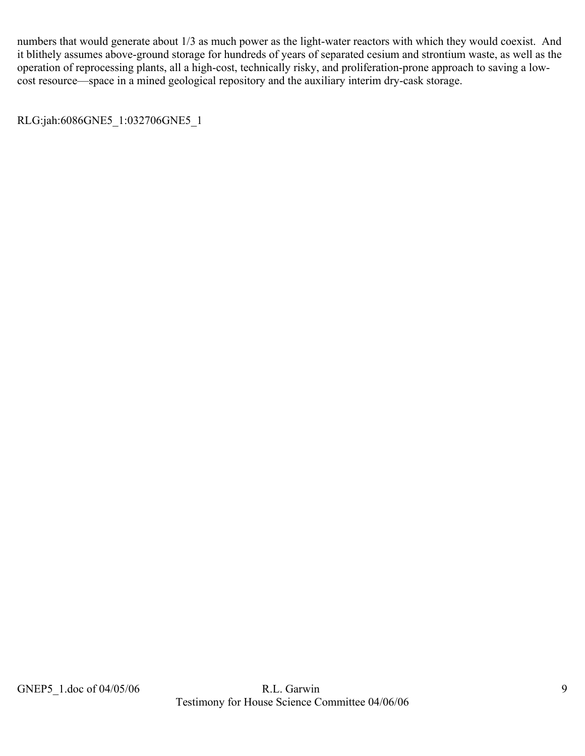numbers that would generate about 1/3 as much power as the light-water reactors with which they would coexist. And it blithely assumes above-ground storage for hundreds of years of separated cesium and strontium waste, as well as the operation of reprocessing plants, all a high-cost, technically risky, and proliferation-prone approach to saving a lowcost resource—space in a mined geological repository and the auxiliary interim dry-cask storage.

RLG:jah:6086GNE5\_1:032706GNE5\_1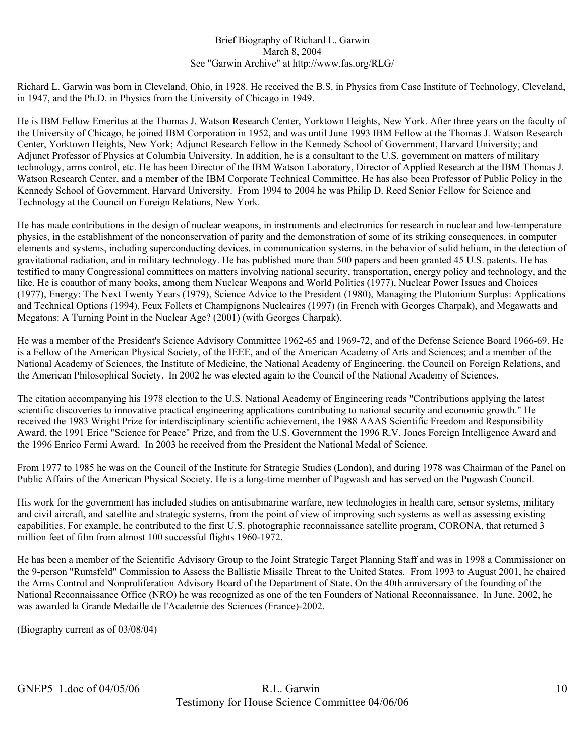#### Brief Biography of Richard L. Garwin March 8, 2004 See "Garwin Archive" at http://www.fas.org/RLG/

Richard L. Garwin was born in Cleveland, Ohio, in 1928. He received the B.S. in Physics from Case Institute of Technology, Cleveland, in 1947, and the Ph.D. in Physics from the University of Chicago in 1949.

He is IBM Fellow Emeritus at the Thomas J. Watson Research Center, Yorktown Heights, New York. After three years on the faculty of the University of Chicago, he joined IBM Corporation in 1952, and was until June 1993 IBM Fellow at the Thomas J. Watson Research Center, Yorktown Heights, New York; Adjunct Research Fellow in the Kennedy School of Government, Harvard University; and Adjunct Professor of Physics at Columbia University. In addition, he is a consultant to the U.S. government on matters of military technology, arms control, etc. He has been Director of the IBM Watson Laboratory, Director of Applied Research at the IBM Thomas J. Watson Research Center, and a member of the IBM Corporate Technical Committee. He has also been Professor of Public Policy in the Kennedy School of Government, Harvard University. From 1994 to 2004 he was Philip D. Reed Senior Fellow for Science and Technology at the Council on Foreign Relations, New York.

He has made contributions in the design of nuclear weapons, in instruments and electronics for research in nuclear and low-temperature physics, in the establishment of the nonconservation of parity and the demonstration of some of its striking consequences, in computer elements and systems, including superconducting devices, in communication systems, in the behavior of solid helium, in the detection of gravitational radiation, and in military technology. He has published more than 500 papers and been granted 45 U.S. patents. He has testified to many Congressional committees on matters involving national security, transportation, energy policy and technology, and the like. He is coauthor of many books, among them Nuclear Weapons and World Politics (1977), Nuclear Power Issues and Choices (1977), Energy: The Next Twenty Years (1979), Science Advice to the President (1980), Managing the Plutonium Surplus: Applications and Technical Options (1994), Feux Follets et Champignons Nucleaires (1997) (in French with Georges Charpak), and Megawatts and Megatons: A Turning Point in the Nuclear Age? (2001) (with Georges Charpak).

He was a member of the President's Science Advisory Committee 1962-65 and 1969-72, and of the Defense Science Board 1966-69. He is a Fellow of the American Physical Society, of the IEEE, and of the American Academy of Arts and Sciences; and a member of the National Academy of Sciences, the Institute of Medicine, the National Academy of Engineering, the Council on Foreign Relations, and the American Philosophical Society. In 2002 he was elected again to the Council of the National Academy of Sciences.

The citation accompanying his 1978 election to the U.S. National Academy of Engineering reads "Contributions applying the latest scientific discoveries to innovative practical engineering applications contributing to national security and economic growth." He received the 1983 Wright Prize for interdisciplinary scientific achievement, the 1988 AAAS Scientific Freedom and Responsibility Award, the 1991 Erice "Science for Peace" Prize, and from the U.S. Government the 1996 R.V. Jones Foreign Intelligence Award and the 1996 Enrico Fermi Award. In 2003 he received from the President the National Medal of Science.

From 1977 to 1985 he was on the Council of the Institute for Strategic Studies (London), and during 1978 was Chairman of the Panel on Public Affairs of the American Physical Society. He is a long-time member of Pugwash and has served on the Pugwash Council.

His work for the government has included studies on antisubmarine warfare, new technologies in health care, sensor systems, military and civil aircraft, and satellite and strategic systems, from the point of view of improving such systems as well as assessing existing capabilities. For example, he contributed to the first U.S. photographic reconnaissance satellite program, CORONA, that returned 3 million feet of film from almost 100 successful flights 1960-1972.

He has been a member of the Scientific Advisory Group to the Joint Strategic Target Planning Staff and was in 1998 a Commissioner on the 9-person "Rumsfeld" Commission to Assess the Ballistic Missile Threat to the United States. From 1993 to August 2001, he chaired the Arms Control and Nonproliferation Advisory Board of the Department of State. On the 40th anniversary of the founding of the National Reconnaissance Office (NRO) he was recognized as one of the ten Founders of National Reconnaissance. In June, 2002, he was awarded la Grande Medaille de l'Academie des Sciences (France)-2002.

(Biography current as of 03/08/04)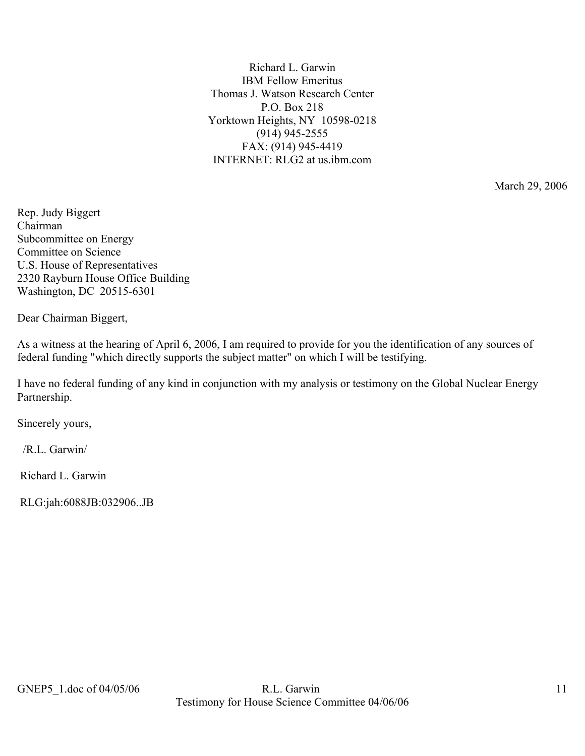Richard L. Garwin IBM Fellow Emeritus Thomas J. Watson Research Center P.O. Box 218 Yorktown Heights, NY 10598-0218 (914) 945-2555 FAX: (914) 945-4419 INTERNET: RLG2 at us.ibm.com

March 29, 2006

Rep. Judy Biggert Chairman Subcommittee on Energy Committee on Science U.S. House of Representatives 2320 Rayburn House Office Building Washington, DC 20515-6301

Dear Chairman Biggert,

As a witness at the hearing of April 6, 2006, I am required to provide for you the identification of any sources of federal funding "which directly supports the subject matter" on which I will be testifying.

I have no federal funding of any kind in conjunction with my analysis or testimony on the Global Nuclear Energy Partnership.

Sincerely yours,

/R.L. Garwin/

Richard L. Garwin

RLG:jah:6088JB:032906..JB